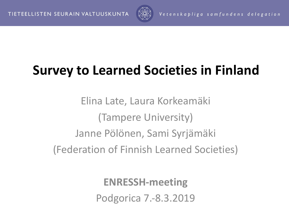

## **Survey to Learned Societies in Finland**

Elina Late, Laura Korkeamäki (Tampere University) Janne Pölönen, Sami Syrjämäki (Federation of Finnish Learned Societies)

> **ENRESSH-meeting** Podgorica 7.-8.3.2019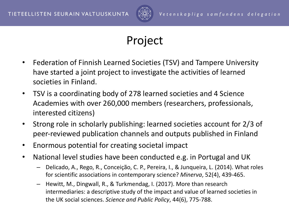

## Project

- Federation of Finnish Learned Societies (TSV) and Tampere University have started a joint project to investigate the activities of learned societies in Finland.
- TSV is a coordinating body of 278 learned societies and 4 Science Academies with over 260,000 members (researchers, professionals, interested citizens)
- Strong role in scholarly publishing: learned societies account for 2/3 of peer-reviewed publication channels and outputs published in Finland
- Enormous potential for creating societal impact
- National level studies have been conducted e.g. in Portugal and UK
	- Delicado, A., Rego, R., Conceição, C. P., Pereira, I., & Junqueira, L. (2014). What roles for scientific associations in contemporary science? *Minerva*, 52(4), 439-465.
	- Hewitt, M., Dingwall, R., & Turkmendag, I. (2017). More than research intermediaries: a descriptive study of the impact and value of learned societies in the UK social sciences. *Science and Public Policy*, 44(6), 775-788.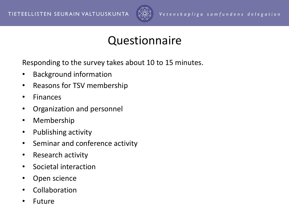

## Questionnaire

Responding to the survey takes about 10 to 15 minutes.

- Background information
- Reasons for TSV membership
- Finances
- Organization and personnel
- Membership
- Publishing activity
- Seminar and conference activity
- Research activity
- Societal interaction
- Open science
- Collaboration
- **Future**